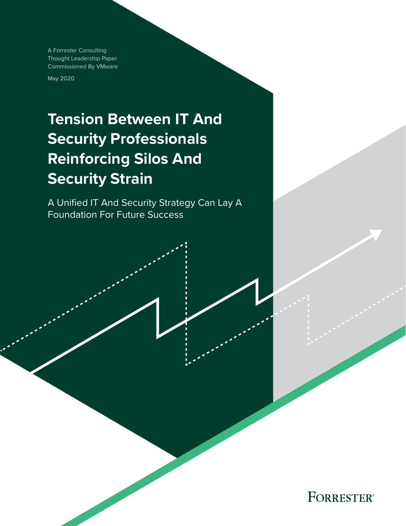A Forrester Consulting Thought Leadership Paper Commissioned By VMware

May 2020

# **Tension Between IT And Security Professionals Reinforcing Silos And Security Strain**

A Unified IT And Security Strategy Can Lay A Foundation For Future Success

**FORRESTER®**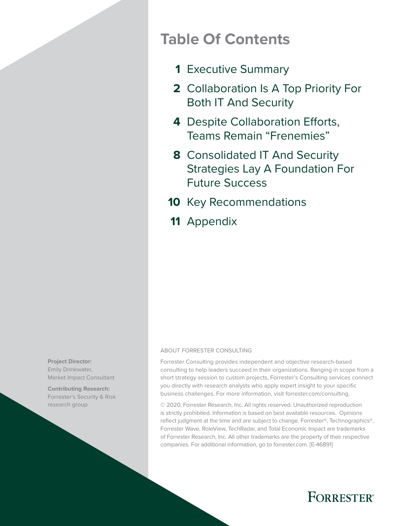## **Table Of Contents**

- [Executive Summary](#page-2-0) **1**
- [Collaboration Is A Top Priority For](#page-3-0)  **2** [Both IT And Security](#page-3-0)
- 4 Despite Collaboration Efforts, [Teams Remain "Frenemies"](#page-5-0)
- [Consolidated IT And Security](#page-9-0)  **8** [Strategies Lay A Foundation For](#page-9-0)  [Future Success](#page-9-0)
- 10 [Key Recommendations](#page-11-0)
- 11 [Appendix](#page-12-0)

#### ABOUT FORRESTER CONSULTING

Forrester Consulting provides independent and objective research-based consulting to help leaders succeed in their organizations. Ranging in scope from a short strategy session to custom projects, Forrester's Consulting services connect you directly with research analysts who apply expert insight to your specific business challenges. For more information, visit forrester.com/consulting.

© 2020, Forrester Research, Inc. All rights reserved. Unauthorized reproduction is strictly prohibited. Information is based on best available resources. Opinions reflect judgment at the time and are subject to change. Forrester®, Technographics®, Forrester Wave, RoleView, TechRadar, and Total Economic Impact are trademarks of Forrester Research, Inc. All other trademarks are the property of their respective companies. For additional information, go to forrester.com. [E-46891]



**Contributing Research:**  Forrester's Security & Risk research group

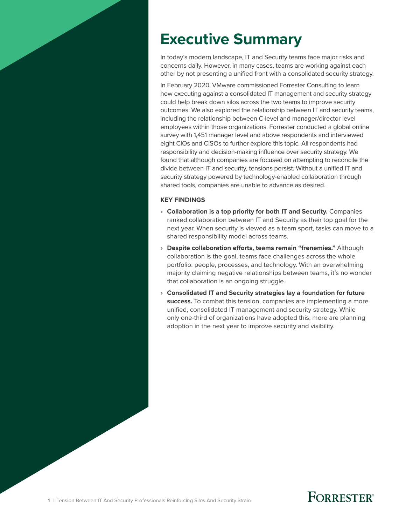# <span id="page-2-0"></span>**Executive Summary**

In today's modern landscape, IT and Security teams face major risks and concerns daily. However, in many cases, teams are working against each other by not presenting a unified front with a consolidated security strategy.

In February 2020, VMware commissioned Forrester Consulting to learn how executing against a consolidated IT management and security strategy could help break down silos across the two teams to improve security outcomes. We also explored the relationship between IT and security teams, including the relationship between C-level and manager/director level employees within those organizations. Forrester conducted a global online survey with 1,451 manager level and above respondents and interviewed eight CIOs and CISOs to further explore this topic. All respondents had responsibility and decision-making influence over security strategy. We found that although companies are focused on attempting to reconcile the divide between IT and security, tensions persist. Without a unified IT and security strategy powered by technology-enabled collaboration through shared tools, companies are unable to advance as desired.

#### **KEY FINDINGS**

- › **Collaboration is a top priority for both IT and Security.** Companies ranked collaboration between IT and Security as their top goal for the next year. When security is viewed as a team sport, tasks can move to a shared responsibility model across teams.
- › **Despite collaboration efforts, teams remain "frenemies."** Although collaboration is the goal, teams face challenges across the whole portfolio: people, processes, and technology. With an overwhelming majority claiming negative relationships between teams, it's no wonder that collaboration is an ongoing struggle.
- › **Consolidated IT and Security strategies lay a foundation for future success.** To combat this tension, companies are implementing a more unified, consolidated IT management and security strategy. While only one-third of organizations have adopted this, more are planning adoption in the next year to improve security and visibility.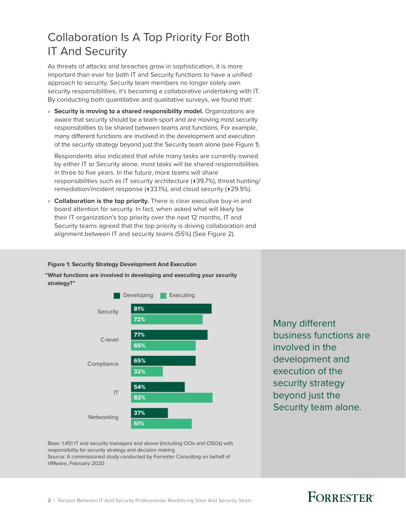### <span id="page-3-0"></span>Collaboration Is A Top Priority For Both IT And Security

As threats of attacks and breaches grow in sophistication, it is more important than ever for both IT and Security functions to have a unified approach to security. Security team members no longer solely own security responsibilities; it's becoming a collaborative undertaking with IT. By conducting both quantitative and qualitative surveys, we found that:

› **Security is moving to a shared responsibility model.** Organizations are aware that security should be a team sport and are moving most security responsibilities to be shared between teams and functions. For example, many different functions are involved in the development and execution of the security strategy beyond just the Security team alone (see Figure 1).

Respondents also indicated that while many tasks are currently owned by either IT or Security alone, most tasks will be shared responsibilities in three to five years. In the future, more teams will share responsibilities such as IT security architecture (↑39.7%), threat hunting/ remediation/incident response (↑33.1%), and cloud security (↑29.9%).

› **Collaboration is the top priority.** There is clear executive buy-in and board attention for security. In fact, when asked what will likely be their IT organization's top priority over the next 12 months, IT and Security teams agreed that the top priority is driving collaboration and alignment between IT and security teams (55%) (See Figure 2).

#### **Figure 1: Security Strategy Development And Execution**

**"What functions are involved in developing and executing your security strategy?"**



Many different business functions are involved in the development and execution of the security strategy beyond just the Security team alone.

Base: 1,451 IT and security managers and above (including CIOs and CISOs) with responsibility for security strategy and decision making Source: A commissioned study conducted by Forrester Consulting on behalf of VMware, February 2020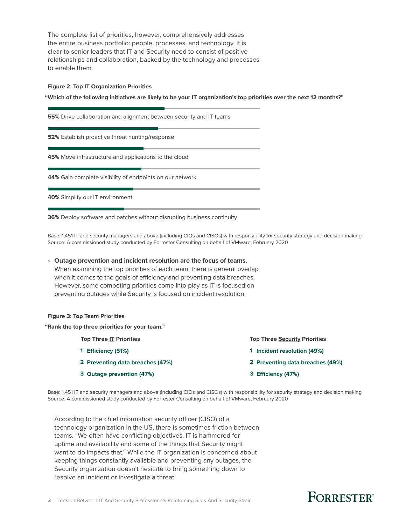The complete list of priorities, however, comprehensively addresses the entire business portfolio: people, processes, and technology. It is clear to senior leaders that IT and Security need to consist of positive relationships and collaboration, backed by the technology and processes to enable them.

#### **Figure 2: Top IT Organization Priorities**

**"Which of the following initiatives are likely to be your IT organization's top priorities over the next 12 months?"**

**55%** Drive collaboration and alignment between security and IT teams

**52%** Establish proactive threat hunting/response

**45%** Move infrastructure and applications to the cloud

**44%** Gain complete visibility of endpoints on our network

**40%** Simplify our IT environment

**36%** Deploy software and patches without disrupting business continuity

Base: 1,451 IT and security managers and above (including CIOs and CISOs) with responsibility for security strategy and decision making Source: A commissioned study conducted by Forrester Consulting on behalf of VMware, February 2020

#### › **Outage prevention and incident resolution are the focus of teams.**

When examining the top priorities of each team, there is general overlap when it comes to the goals of efficiency and preventing data breaches. However, some competing priorities come into play as IT is focused on preventing outages while Security is focused on incident resolution.

#### **Figure 3: Top Team Priorities**

**"Rank the top three priorities for your team."**

**Top Three IT Priorities Accord Priorities Top Three Security Priorities** 

- **1 Eciency (51%)**
- **2 Preventing data breaches (47%)**
- **3 Outage prevention (47%)**
- **1 Incident resolution (49%) 2 Preventing data breaches (49%)**
	- **3 Eciency (47%)**

Base: 1,451 IT and security managers and above (including CIOs and CISOs) with responsibility for security strategy and decision making Source: A commissioned study conducted by Forrester Consulting on behalf of VMware, February 2020

According to the chief information security officer (CISO) of a technology organization in the US, there is sometimes friction between teams. "We often have conflicting objectives. IT is hammered for uptime and availability and some of the things that Security might want to do impacts that." While the IT organization is concerned about keeping things constantly available and preventing any outages, the Security organization doesn't hesitate to bring something down to resolve an incident or investigate a threat.

### **FORRESTER**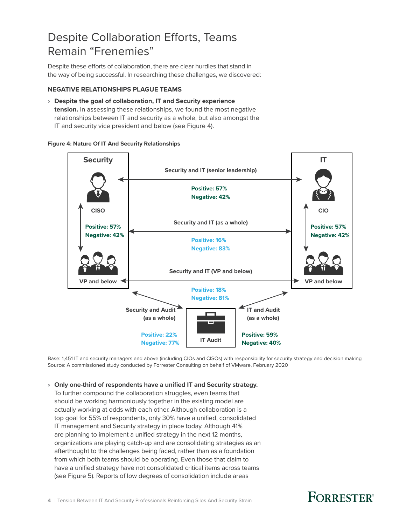### <span id="page-5-0"></span>Despite Collaboration Efforts, Teams Remain "Frenemies"

Despite these efforts of collaboration, there are clear hurdles that stand in the way of being successful. In researching these challenges, we discovered:

#### **NEGATIVE RELATIONSHIPS PLAGUE TEAMS**

› **Despite the goal of collaboration, IT and Security experience tension.** In assessing these relationships, we found the most negative relationships between IT and security as a whole, but also amongst the IT and security vice president and below (see Figure 4).

#### **Figure 4: Nature Of IT And Security Relationships**



Base: 1,451 IT and security managers and above (including CIOs and CISOs) with responsibility for security strategy and decision making Source: A commissioned study conducted by Forrester Consulting on behalf of VMware, February 2020

#### › **Only one-third of respondents have a unified IT and Security strategy.**

To further compound the collaboration struggles, even teams that should be working harmoniously together in the existing model are actually working at odds with each other. Although collaboration is a top goal for 55% of respondents, only 30% have a unified, consolidated IT management and Security strategy in place today. Although 41% are planning to implement a unified strategy in the next 12 months, organizations are playing catch-up and are consolidating strategies as an afterthought to the challenges being faced, rather than as a foundation from which both teams should be operating. Even those that claim to have a unified strategy have not consolidated critical items across teams (see Figure 5). Reports of low degrees of consolidation include areas

### **FORRESTER**<sup>®</sup>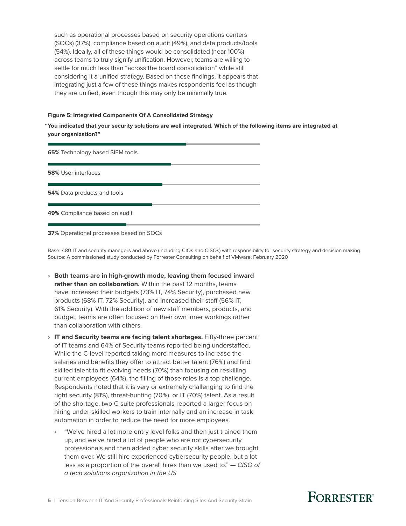such as operational processes based on security operations centers (SOCs) (37%), compliance based on audit (49%), and data products/tools (54%). Ideally, all of these things would be consolidated (near 100%) across teams to truly signify unification. However, teams are willing to settle for much less than "across the board consolidation" while still considering it a unified strategy. Based on these findings, it appears that integrating just a few of these things makes respondents feel as though they are unified, even though this may only be minimally true.

#### **Figure 5: Integrated Components Of A Consolidated Strategy**

**"You indicated that your security solutions are well integrated. Which of the following items are integrated at your organization?"**

**65%** Technology based SIEM tools

**58%** User interfaces

**54%** Data products and tools

**49%** Compliance based on audit

**37%** Operational processes based on SOCs

Base: 480 IT and security managers and above (including CIOs and CISOs) with responsibility for security strategy and decision making Source: A commissioned study conducted by Forrester Consulting on behalf of VMware, February 2020

- › **Both teams are in high-growth mode, leaving them focused inward rather than on collaboration.** Within the past 12 months, teams have increased their budgets (73% IT, 74% Security), purchased new products (68% IT, 72% Security), and increased their staff (56% IT, 61% Security). With the addition of new staff members, products, and budget, teams are often focused on their own inner workings rather than collaboration with others.
- › **IT and Security teams are facing talent shortages.** Fifty-three percent of IT teams and 64% of Security teams reported being understaffed. While the C-level reported taking more measures to increase the salaries and benefits they offer to attract better talent (76%) and find skilled talent to fit evolving needs (70%) than focusing on reskilling current employees (64%), the filling of those roles is a top challenge. Respondents noted that it is very or extremely challenging to find the right security (81%), threat-hunting (70%), or IT (70%) talent. As a result of the shortage, two C-suite professionals reported a larger focus on hiring under-skilled workers to train internally and an increase in task automation in order to reduce the need for more employees.
	- "We've hired a lot more entry level folks and then just trained them up, and we've hired a lot of people who are not cybersecurity professionals and then added cyber security skills after we brought them over. We still hire experienced cybersecurity people, but a lot less as a proportion of the overall hires than we used to." — *CISO of a tech solutions organization in the US*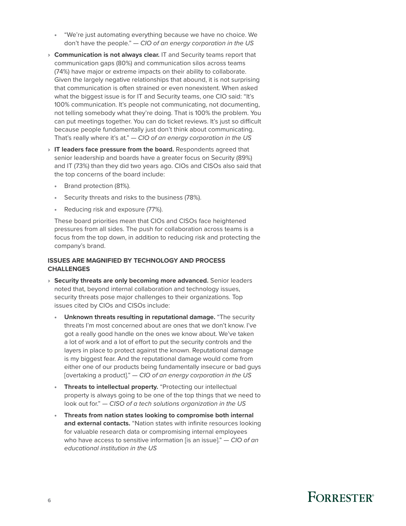- "We're just automating everything because we have no choice. We don't have the people." — *CIO of an energy corporation in the US*
- › **Communication is not always clear.** IT and Security teams report that communication gaps (80%) and communication silos across teams (74%) have major or extreme impacts on their ability to collaborate. Given the largely negative relationships that abound, it is not surprising that communication is often strained or even nonexistent. When asked what the biggest issue is for IT and Security teams, one CIO said: "It's 100% communication. It's people not communicating, not documenting, not telling somebody what they're doing. That is 100% the problem. You can put meetings together. You can do ticket reviews. It's just so difficult because people fundamentally just don't think about communicating. That's really where it's at." — *CIO of an energy corporation in the US*
- › **IT leaders face pressure from the board.** Respondents agreed that senior leadership and boards have a greater focus on Security (89%) and IT (73%) than they did two years ago. CIOs and CISOs also said that the top concerns of the board include:
	- Brand protection (81%).
	- Security threats and risks to the business (78%).
	- Reducing risk and exposure (77%).

These board priorities mean that CIOs and CISOs face heightened pressures from all sides. The push for collaboration across teams is a focus from the top down, in addition to reducing risk and protecting the company's brand.

### **ISSUES ARE MAGNIFIED BY TECHNOLOGY AND PROCESS CHALLENGES**

- › **Security threats are only becoming more advanced.** Senior leaders noted that, beyond internal collaboration and technology issues, security threats pose major challenges to their organizations. Top issues cited by CIOs and CISOs include:
	- **Unknown threats resulting in reputational damage.** "The security threats I'm most concerned about are ones that we don't know. I've got a really good handle on the ones we know about. We've taken a lot of work and a lot of effort to put the security controls and the layers in place to protect against the known. Reputational damage is my biggest fear. And the reputational damage would come from either one of our products being fundamentally insecure or bad guys [overtaking a product]." — *CIO of an energy corporation in the US*
	- **Threats to intellectual property.** "Protecting our intellectual property is always going to be one of the top things that we need to look out for." — *CISO of a tech solutions organization in the US*
	- **Threats from nation states looking to compromise both internal and external contacts.** "Nation states with infinite resources looking for valuable research data or compromising internal employees who have access to sensitive information [is an issue]." — *CIO of an educational institution in the US*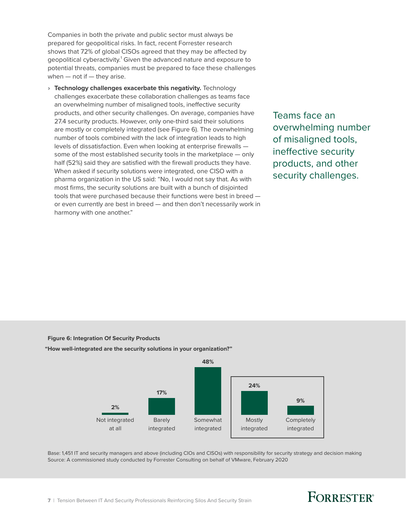Companies in both the private and public sector must always be prepared for geopolitical risks. In fact, recent Forrester research shows that 72% of global CISOs agreed that they may be affected by geopolitical cyberactivity.<sup>1</sup> Given the advanced nature and exposure to potential threats, companies must be prepared to face these challenges when  $-$  not if  $-$  they arise.

› **Technology challenges exacerbate this negativity.** Technology challenges exacerbate these collaboration challenges as teams face an overwhelming number of misaligned tools, ineffective security products, and other security challenges. On average, companies have 27.4 security products. However, only one-third said their solutions are mostly or completely integrated (see Figure 6). The overwhelming number of tools combined with the lack of integration leads to high levels of dissatisfaction. Even when looking at enterprise firewalls some of the most established security tools in the marketplace — only half (52%) said they are satisfied with the firewall products they have. When asked if security solutions were integrated, one CISO with a pharma organization in the US said: "No, I would not say that. As with most firms, the security solutions are built with a bunch of disjointed tools that were purchased because their functions were best in breed or even currently are best in breed — and then don't necessarily work in harmony with one another."

Teams face an overwhelming number of misaligned tools, ineffective security products, and other security challenges.

**Figure 6: Integration Of Security Products** 

**"How well-integrated are the security solutions in your organization?"**



Base: 1,451 IT and security managers and above (including CIOs and CISOs) with responsibility for security strategy and decision making Source: A commissioned study conducted by Forrester Consulting on behalf of VMware, February 2020

### **FORRESTER**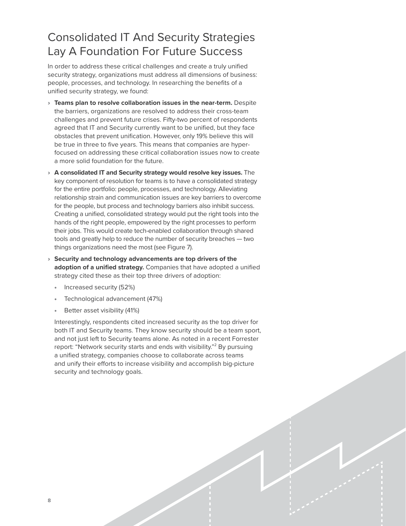### <span id="page-9-0"></span>Consolidated IT And Security Strategies Lay A Foundation For Future Success

In order to address these critical challenges and create a truly unified security strategy, organizations must address all dimensions of business: people, processes, and technology. In researching the benefits of a unified security strategy, we found:

- › **Teams plan to resolve collaboration issues in the near-term.** Despite the barriers, organizations are resolved to address their cross-team challenges and prevent future crises. Fifty-two percent of respondents agreed that IT and Security currently want to be unified, but they face obstacles that prevent unification. However, only 19% believe this will be true in three to five years. This means that companies are hyperfocused on addressing these critical collaboration issues now to create a more solid foundation for the future.
- › **A consolidated IT and Security strategy would resolve key issues.** The key component of resolution for teams is to have a consolidated strategy for the entire portfolio: people, processes, and technology. Alleviating relationship strain and communication issues are key barriers to overcome for the people, but process and technology barriers also inhibit success. Creating a unified, consolidated strategy would put the right tools into the hands of the right people, empowered by the right processes to perform their jobs. This would create tech-enabled collaboration through shared tools and greatly help to reduce the number of security breaches — two things organizations need the most (see Figure 7).
- › **Security and technology advancements are top drivers of the adoption of a unified strategy.** Companies that have adopted a unified strategy cited these as their top three drivers of adoption:
	- Increased security (52%)
	- Technological advancement (47%)
	- Better asset visibility (41%)

Interestingly, respondents cited increased security as the top driver for both IT and Security teams. They know security should be a team sport, and not just left to Security teams alone. As noted in a recent Forrester report: "Network security starts and ends with visibility."<sup>2</sup> By pursuing a unified strategy, companies choose to collaborate across teams and unify their efforts to increase visibility and accomplish big-picture security and technology goals.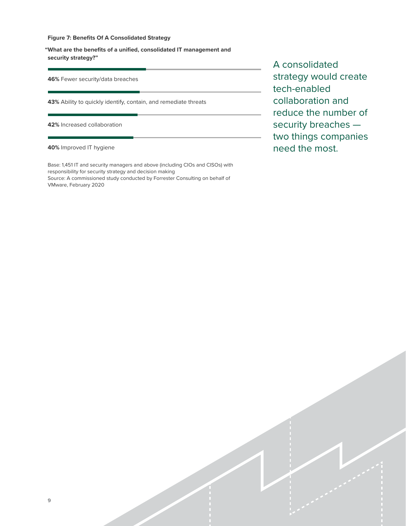#### **Figure 7: Benefits Of A Consolidated Strategy**

**"What are the benefits of a unified, consolidated IT management and security strategy?"**

**46%** Fewer security/data breaches

**43%** Ability to quickly identify, contain, and remediate threats

**42%** Increased collaboration

**40%** Improved IT hygiene

Base: 1,451 IT and security managers and above (including CIOs and CISOs) with responsibility for security strategy and decision making Source: A commissioned study conducted by Forrester Consulting on behalf of VMware, February 2020

A consolidated strategy would create tech-enabled collaboration and reduce the number of security breaches two things companies need the most.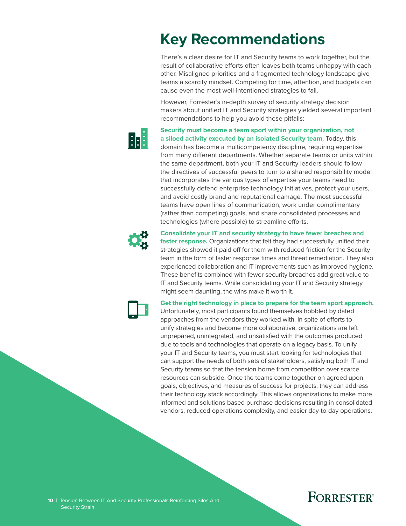# <span id="page-11-0"></span>**Key Recommendations**

There's a clear desire for IT and Security teams to work together, but the result of collaborative efforts often leaves both teams unhappy with each other. Misaligned priorities and a fragmented technology landscape give teams a scarcity mindset. Competing for time, attention, and budgets can cause even the most well-intentioned strategies to fail.

However, Forrester's in-depth survey of security strategy decision makers about unified IT and Security strategies yielded several important recommendations to help you avoid these pitfalls:



**Security must become a team sport within your organization, not a siloed activity executed by an isolated Security team.** Today, this

domain has become a multicompetency discipline, requiring expertise from many different departments. Whether separate teams or units within the same department, both your IT and Security leaders should follow the directives of successful peers to turn to a shared responsibility model that incorporates the various types of expertise your teams need to successfully defend enterprise technology initiatives, protect your users, and avoid costly brand and reputational damage. The most successful teams have open lines of communication, work under complimentary (rather than competing) goals, and share consolidated processes and technologies (where possible) to streamline efforts.



**Consolidate your IT and security strategy to have fewer breaches and faster response.** Organizations that felt they had successfully unified their strategies showed it paid off for them with reduced friction for the Security team in the form of faster response times and threat remediation. They also experienced collaboration and IT improvements such as improved hygiene. These benefits combined with fewer security breaches add great value to IT and Security teams. While consolidating your IT and Security strategy might seem daunting, the wins make it worth it.



**Get the right technology in place to prepare for the team sport approach.** Unfortunately, most participants found themselves hobbled by dated approaches from the vendors they worked with. In spite of efforts to unify strategies and become more collaborative, organizations are left unprepared, unintegrated, and unsatisfied with the outcomes produced due to tools and technologies that operate on a legacy basis. To unify your IT and Security teams, you must start looking for technologies that can support the needs of both sets of stakeholders, satisfying both IT and Security teams so that the tension borne from competition over scarce resources can subside. Once the teams come together on agreed upon goals, objectives, and measures of success for projects, they can address their technology stack accordingly. This allows organizations to make more informed and solutions-based purchase decisions resulting in consolidated vendors, reduced operations complexity, and easier day-to-day operations.

### **FORRESTER®**

**10** | Tension Between IT And Security Professionals Reinforcing Silos And Security Strain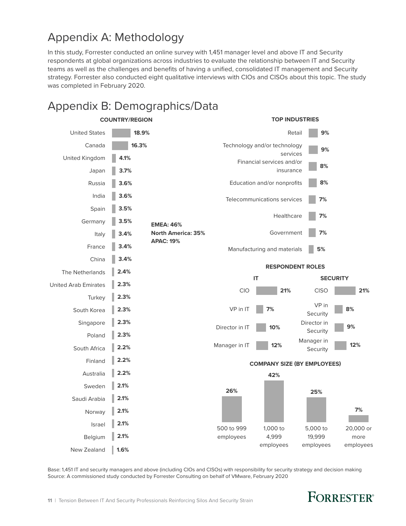### <span id="page-12-0"></span>Appendix A: Methodology

In this study, Forrester conducted an online survey with 1,451 manager level and above IT and Security respondents at global organizations across industries to evaluate the relationship between IT and Security teams as well as the challenges and benefits of having a unified, consolidated IT management and Security strategy. Forrester also conducted eight qualitative interviews with CIOs and CISOs about this topic. The study was completed in February 2020.

### Appendix B: Demographics/Data



Base: 1,451 IT and security managers and above (including CIOs and CISOs) with responsibility for security strategy and decision making Source: A commissioned study conducted by Forrester Consulting on behalf of VMware, February 2020

### **FORRESTER**